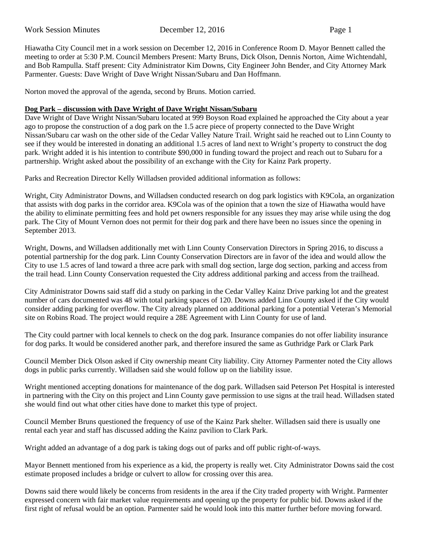Work Session Minutes December 12, 2016 Page 1

Hiawatha City Council met in a work session on December 12, 2016 in Conference Room D. Mayor Bennett called the meeting to order at 5:30 P.M. Council Members Present: Marty Bruns, Dick Olson, Dennis Norton, Aime Wichtendahl, and Bob Rampulla. Staff present: City Administrator Kim Downs, City Engineer John Bender, and City Attorney Mark Parmenter. Guests: Dave Wright of Dave Wright Nissan/Subaru and Dan Hoffmann.

Norton moved the approval of the agenda, second by Bruns. Motion carried.

# **Dog Park – discussion with Dave Wright of Dave Wright Nissan/Subaru**

Dave Wright of Dave Wright Nissan/Subaru located at 999 Boyson Road explained he approached the City about a year ago to propose the construction of a dog park on the 1.5 acre piece of property connected to the Dave Wright Nissan/Subaru car wash on the other side of the Cedar Valley Nature Trail. Wright said he reached out to Linn County to see if they would be interested in donating an additional 1.5 acres of land next to Wright's property to construct the dog park. Wright added it is his intention to contribute \$90,000 in funding toward the project and reach out to Subaru for a partnership. Wright asked about the possibility of an exchange with the City for Kainz Park property.

Parks and Recreation Director Kelly Willadsen provided additional information as follows:

Wright, City Administrator Downs, and Willadsen conducted research on dog park logistics with K9Cola, an organization that assists with dog parks in the corridor area. K9Cola was of the opinion that a town the size of Hiawatha would have the ability to eliminate permitting fees and hold pet owners responsible for any issues they may arise while using the dog park. The City of Mount Vernon does not permit for their dog park and there have been no issues since the opening in September 2013.

Wright, Downs, and Willadsen additionally met with Linn County Conservation Directors in Spring 2016, to discuss a potential partnership for the dog park. Linn County Conservation Directors are in favor of the idea and would allow the City to use 1.5 acres of land toward a three acre park with small dog section, large dog section, parking and access from the trail head. Linn County Conservation requested the City address additional parking and access from the trailhead.

City Administrator Downs said staff did a study on parking in the Cedar Valley Kainz Drive parking lot and the greatest number of cars documented was 48 with total parking spaces of 120. Downs added Linn County asked if the City would consider adding parking for overflow. The City already planned on additional parking for a potential Veteran's Memorial site on Robins Road. The project would require a 28E Agreement with Linn County for use of land.

The City could partner with local kennels to check on the dog park. Insurance companies do not offer liability insurance for dog parks. It would be considered another park, and therefore insured the same as Guthridge Park or Clark Park

Council Member Dick Olson asked if City ownership meant City liability. City Attorney Parmenter noted the City allows dogs in public parks currently. Willadsen said she would follow up on the liability issue.

Wright mentioned accepting donations for maintenance of the dog park. Willadsen said Peterson Pet Hospital is interested in partnering with the City on this project and Linn County gave permission to use signs at the trail head. Willadsen stated she would find out what other cities have done to market this type of project.

Council Member Bruns questioned the frequency of use of the Kainz Park shelter. Willadsen said there is usually one rental each year and staff has discussed adding the Kainz pavilion to Clark Park.

Wright added an advantage of a dog park is taking dogs out of parks and off public right-of-ways.

Mayor Bennett mentioned from his experience as a kid, the property is really wet. City Administrator Downs said the cost estimate proposed includes a bridge or culvert to allow for crossing over this area.

Downs said there would likely be concerns from residents in the area if the City traded property with Wright. Parmenter expressed concern with fair market value requirements and opening up the property for public bid. Downs asked if the first right of refusal would be an option. Parmenter said he would look into this matter further before moving forward.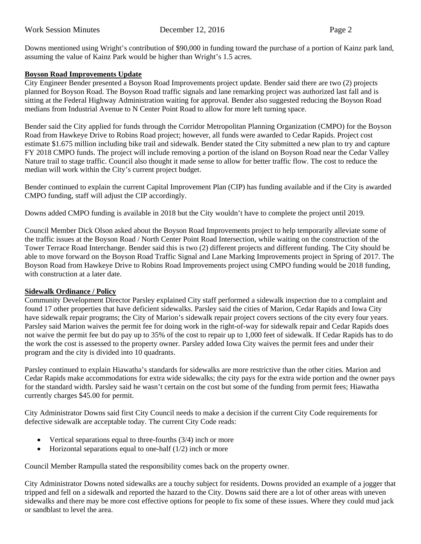Downs mentioned using Wright's contribution of \$90,000 in funding toward the purchase of a portion of Kainz park land, assuming the value of Kainz Park would be higher than Wright's 1.5 acres.

# **Boyson Road Improvements Update**

City Engineer Bender presented a Boyson Road Improvements project update. Bender said there are two (2) projects planned for Boyson Road. The Boyson Road traffic signals and lane remarking project was authorized last fall and is sitting at the Federal Highway Administration waiting for approval. Bender also suggested reducing the Boyson Road medians from Industrial Avenue to N Center Point Road to allow for more left turning space.

Bender said the City applied for funds through the Corridor Metropolitan Planning Organization (CMPO) for the Boyson Road from Hawkeye Drive to Robins Road project; however, all funds were awarded to Cedar Rapids. Project cost estimate \$1.675 million including bike trail and sidewalk. Bender stated the City submitted a new plan to try and capture FY 2018 CMPO funds. The project will include removing a portion of the island on Boyson Road near the Cedar Valley Nature trail to stage traffic. Council also thought it made sense to allow for better traffic flow. The cost to reduce the median will work within the City's current project budget.

Bender continued to explain the current Capital Improvement Plan (CIP) has funding available and if the City is awarded CMPO funding, staff will adjust the CIP accordingly.

Downs added CMPO funding is available in 2018 but the City wouldn't have to complete the project until 2019.

Council Member Dick Olson asked about the Boyson Road Improvements project to help temporarily alleviate some of the traffic issues at the Boyson Road / North Center Point Road Intersection, while waiting on the construction of the Tower Terrace Road Interchange. Bender said this is two (2) different projects and different funding. The City should be able to move forward on the Boyson Road Traffic Signal and Lane Marking Improvements project in Spring of 2017. The Boyson Road from Hawkeye Drive to Robins Road Improvements project using CMPO funding would be 2018 funding, with construction at a later date.

### **Sidewalk Ordinance / Policy**

Community Development Director Parsley explained City staff performed a sidewalk inspection due to a complaint and found 17 other properties that have deficient sidewalks. Parsley said the cities of Marion, Cedar Rapids and Iowa City have sidewalk repair programs; the City of Marion's sidewalk repair project covers sections of the city every four years. Parsley said Marion waives the permit fee for doing work in the right-of-way for sidewalk repair and Cedar Rapids does not waive the permit fee but do pay up to 35% of the cost to repair up to 1,000 feet of sidewalk. If Cedar Rapids has to do the work the cost is assessed to the property owner. Parsley added Iowa City waives the permit fees and under their program and the city is divided into 10 quadrants.

Parsley continued to explain Hiawatha's standards for sidewalks are more restrictive than the other cities. Marion and Cedar Rapids make accommodations for extra wide sidewalks; the city pays for the extra wide portion and the owner pays for the standard width. Parsley said he wasn't certain on the cost but some of the funding from permit fees; Hiawatha currently charges \$45.00 for permit.

City Administrator Downs said first City Council needs to make a decision if the current City Code requirements for defective sidewalk are acceptable today. The current City Code reads:

- Vertical separations equal to three-fourths  $(3/4)$  inch or more
- Horizontal separations equal to one-half  $(1/2)$  inch or more

Council Member Rampulla stated the responsibility comes back on the property owner.

City Administrator Downs noted sidewalks are a touchy subject for residents. Downs provided an example of a jogger that tripped and fell on a sidewalk and reported the hazard to the City. Downs said there are a lot of other areas with uneven sidewalks and there may be more cost effective options for people to fix some of these issues. Where they could mud jack or sandblast to level the area.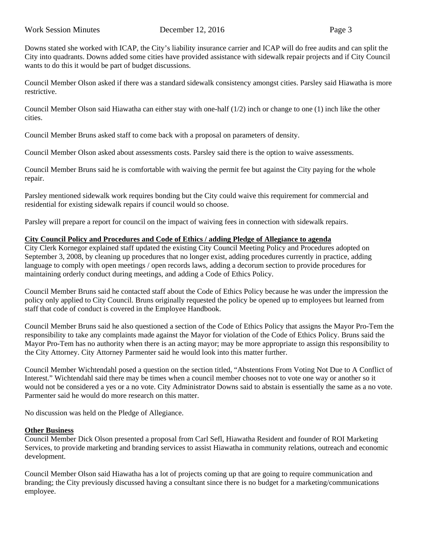Downs stated she worked with ICAP, the City's liability insurance carrier and ICAP will do free audits and can split the City into quadrants. Downs added some cities have provided assistance with sidewalk repair projects and if City Council wants to do this it would be part of budget discussions.

Council Member Olson asked if there was a standard sidewalk consistency amongst cities. Parsley said Hiawatha is more restrictive.

Council Member Olson said Hiawatha can either stay with one-half (1/2) inch or change to one (1) inch like the other cities.

Council Member Bruns asked staff to come back with a proposal on parameters of density.

Council Member Olson asked about assessments costs. Parsley said there is the option to waive assessments.

Council Member Bruns said he is comfortable with waiving the permit fee but against the City paying for the whole repair.

Parsley mentioned sidewalk work requires bonding but the City could waive this requirement for commercial and residential for existing sidewalk repairs if council would so choose.

Parsley will prepare a report for council on the impact of waiving fees in connection with sidewalk repairs.

# **City Council Policy and Procedures and Code of Ethics / adding Pledge of Allegiance to agenda**

City Clerk Kornegor explained staff updated the existing City Council Meeting Policy and Procedures adopted on September 3, 2008, by cleaning up procedures that no longer exist, adding procedures currently in practice, adding language to comply with open meetings / open records laws, adding a decorum section to provide procedures for maintaining orderly conduct during meetings, and adding a Code of Ethics Policy.

Council Member Bruns said he contacted staff about the Code of Ethics Policy because he was under the impression the policy only applied to City Council. Bruns originally requested the policy be opened up to employees but learned from staff that code of conduct is covered in the Employee Handbook.

Council Member Bruns said he also questioned a section of the Code of Ethics Policy that assigns the Mayor Pro-Tem the responsibility to take any complaints made against the Mayor for violation of the Code of Ethics Policy. Bruns said the Mayor Pro-Tem has no authority when there is an acting mayor; may be more appropriate to assign this responsibility to the City Attorney. City Attorney Parmenter said he would look into this matter further.

Council Member Wichtendahl posed a question on the section titled, "Abstentions From Voting Not Due to A Conflict of Interest." Wichtendahl said there may be times when a council member chooses not to vote one way or another so it would not be considered a yes or a no vote. City Administrator Downs said to abstain is essentially the same as a no vote. Parmenter said he would do more research on this matter.

No discussion was held on the Pledge of Allegiance.

# **Other Business**

Council Member Dick Olson presented a proposal from Carl Sefl, Hiawatha Resident and founder of ROI Marketing Services, to provide marketing and branding services to assist Hiawatha in community relations, outreach and economic development.

Council Member Olson said Hiawatha has a lot of projects coming up that are going to require communication and branding; the City previously discussed having a consultant since there is no budget for a marketing/communications employee.